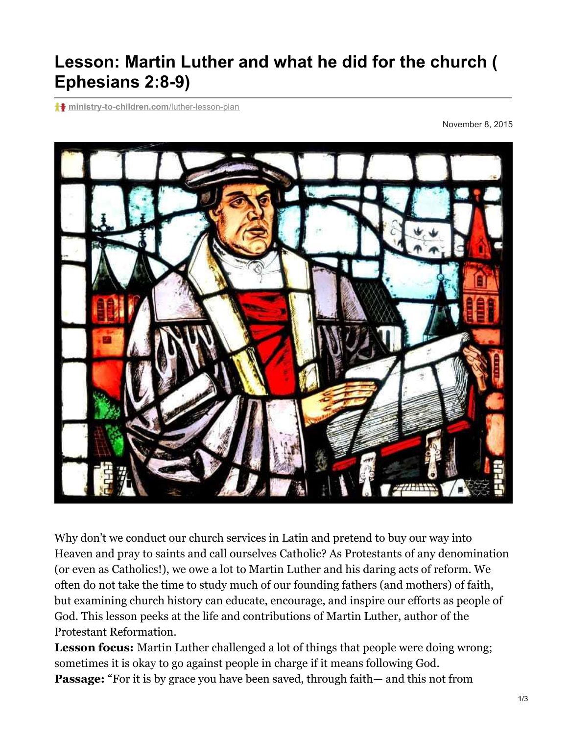## **Lesson: Martin Luther and what he did for the church ( Ephesians 2:8-9)**

**f+** [ministry-to-children.com](https://ministry-to-children.com/luther-lesson-plan/)/luther-lesson-plan

November 8, 2015



Why don't we conduct our church services in Latin and pretend to buy our way into Heaven and pray to saints and call ourselves Catholic? As Protestants of any denomination (or even as Catholics!), we owe a lot to Martin Luther and his daring acts of reform. We often do not take the time to study much of our founding fathers (and mothers) of faith, but examining church history can educate, encourage, and inspire our efforts as people of God. This lesson peeks at the life and contributions of Martin Luther, author of the Protestant Reformation.

**Lesson focus:** Martin Luther challenged a lot of things that people were doing wrong; sometimes it is okay to go against people in charge if it means following God. **Passage:** "For it is by grace you have been saved, through faith— and this not from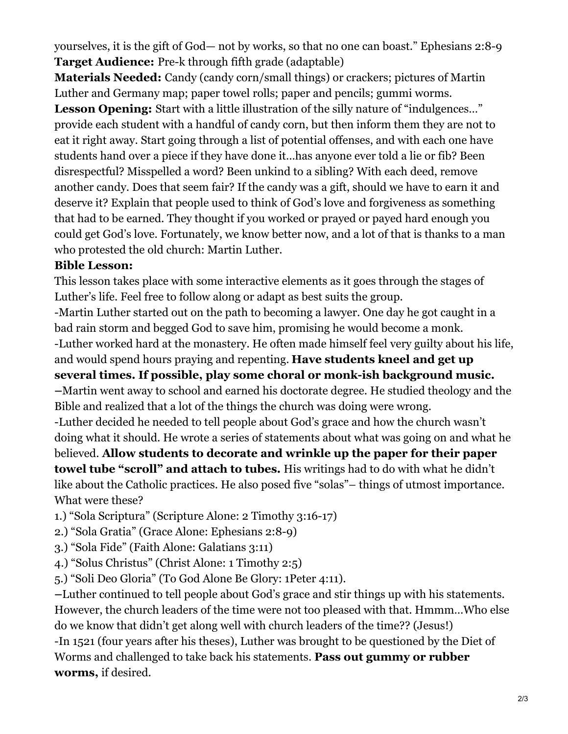yourselves, it is the gift of God— not by works, so that no one can boast." Ephesians 2:8-9 **Target Audience:** Pre-k through fifth grade (adaptable)

**Materials Needed:** Candy (candy corn/small things) or crackers; pictures of Martin Luther and Germany map; paper towel rolls; paper and pencils; gummi worms.

**Lesson Opening:** Start with a little illustration of the silly nature of "indulgences..." provide each student with a handful of candy corn, but then inform them they are not to eat it right away. Start going through a list of potential offenses, and with each one have students hand over a piece if they have done it…has anyone ever told a lie or fib? Been disrespectful? Misspelled a word? Been unkind to a sibling? With each deed, remove another candy. Does that seem fair? If the candy was a gift, should we have to earn it and deserve it? Explain that people used to think of God's love and forgiveness as something that had to be earned. They thought if you worked or prayed or payed hard enough you could get God's love. Fortunately, we know better now, and a lot of that is thanks to a man who protested the old church: Martin Luther.

## **Bible Lesson:**

This lesson takes place with some interactive elements as it goes through the stages of Luther's life. Feel free to follow along or adapt as best suits the group. -Martin Luther started out on the path to becoming a lawyer. One day he got caught in a bad rain storm and begged God to save him, promising he would become a monk. -Luther worked hard at the monastery. He often made himself feel very guilty about his life, and would spend hours praying and repenting. **Have students kneel and get up several times. If possible, play some choral or monk-ish background music. –**Martin went away to school and earned his doctorate degree. He studied theology and the Bible and realized that a lot of the things the church was doing were wrong. -Luther decided he needed to tell people about God's grace and how the church wasn't doing what it should. He wrote a series of statements about what was going on and what he believed. **Allow students to decorate and wrinkle up the paper for their paper towel tube "scroll" and attach to tubes.** His writings had to do with what he didn't like about the Catholic practices. He also posed five "solas"– things of utmost importance. What were these?

- 1.) "Sola Scriptura" (Scripture Alone: 2 Timothy 3:16-17)
- 2.) "Sola Gratia" (Grace Alone: Ephesians 2:8-9)
- 3.) "Sola Fide" (Faith Alone: Galatians 3:11)
- 4.) "Solus Christus" (Christ Alone: 1 Timothy 2:5)
- 5.) "Soli Deo Gloria" (To God Alone Be Glory: 1Peter 4:11).

**–**Luther continued to tell people about God's grace and stir things up with his statements. However, the church leaders of the time were not too pleased with that. Hmmm…Who else do we know that didn't get along well with church leaders of the time?? (Jesus!) -In 1521 (four years after his theses), Luther was brought to be questioned by the Diet of Worms and challenged to take back his statements. **Pass out gummy or rubber**

**worms,** if desired.